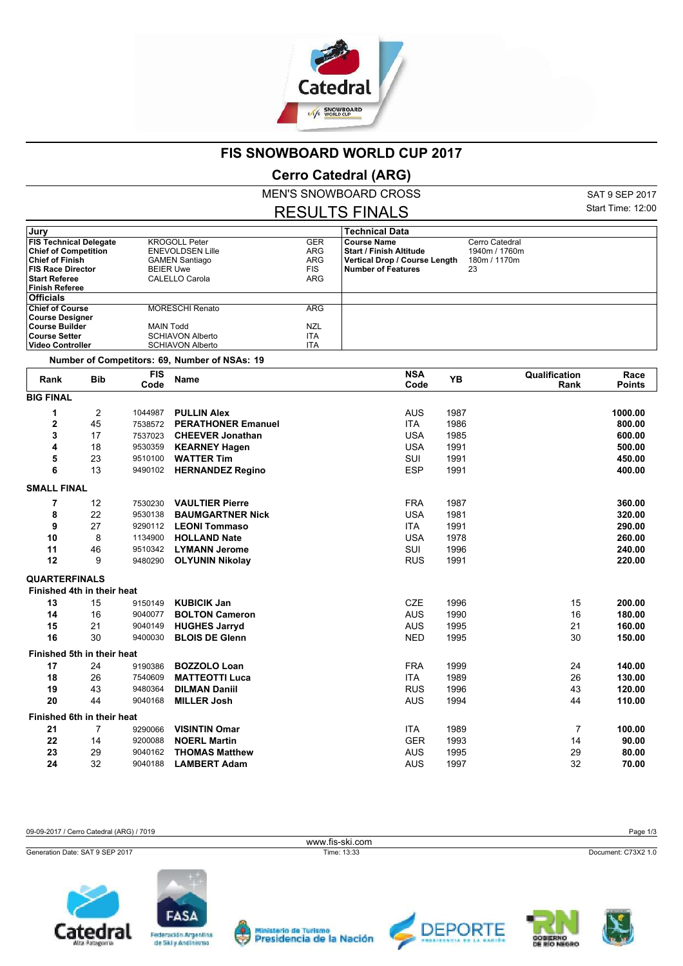

## **FIS SNOWBOARD WORLD CUP 2017**

## **Cerro Catedral (ARG)**

MEN'S SNOWBOARD CROSS

RESULTS FINALS

SAT 9 SEP 2017 Start Time: 12:00

| Jury                                             |                |                    |                                                    |                          | <b>Technical Data</b>                                      |                |                       |                       |
|--------------------------------------------------|----------------|--------------------|----------------------------------------------------|--------------------------|------------------------------------------------------------|----------------|-----------------------|-----------------------|
| <b>FIS Technical Delegate</b>                    |                |                    | <b>KROGOLL Peter</b>                               |                          | <b>Course Name</b>                                         | Cerro Catedral |                       |                       |
| <b>Chief of Competition</b>                      |                |                    | <b>ENEVOLDSEN Lille</b>                            |                          | <b>Start / Finish Altitude</b>                             | 1940m / 1760m  |                       |                       |
| <b>Chief of Finish</b>                           |                |                    | <b>GAMEN Santiago</b><br><b>BEIER Uwe</b>          |                          | Vertical Drop / Course Length<br><b>Number of Features</b> | 180m / 1170m   |                       |                       |
| <b>FIS Race Director</b><br><b>Start Referee</b> |                |                    | CALELLO Carola                                     | <b>FIS</b><br>ARG        |                                                            | 23             |                       |                       |
| <b>Finish Referee</b>                            |                |                    |                                                    |                          |                                                            |                |                       |                       |
| <b>Officials</b>                                 |                |                    |                                                    |                          |                                                            |                |                       |                       |
| <b>Chief of Course</b>                           |                |                    | <b>MORESCHI Renato</b>                             | <b>ARG</b>               |                                                            |                |                       |                       |
| <b>Course Designer</b>                           |                |                    |                                                    |                          |                                                            |                |                       |                       |
| <b>Course Builder</b>                            |                | <b>MAIN Todd</b>   |                                                    | <b>NZL</b>               |                                                            |                |                       |                       |
| <b>Course Setter</b><br><b>Video Controller</b>  |                |                    | <b>SCHIAVON Alberto</b><br><b>SCHIAVON Alberto</b> | <b>ITA</b><br><b>ITA</b> |                                                            |                |                       |                       |
|                                                  |                |                    |                                                    |                          |                                                            |                |                       |                       |
|                                                  |                |                    | Number of Competitors: 69, Number of NSAs: 19      |                          |                                                            |                |                       |                       |
| Rank                                             | <b>Bib</b>     | <b>FIS</b><br>Code | Name                                               |                          | <b>NSA</b><br>Code                                         | YB             | Qualification<br>Rank | Race<br><b>Points</b> |
| <b>BIG FINAL</b>                                 |                |                    |                                                    |                          |                                                            |                |                       |                       |
| 1                                                | $\overline{2}$ | 1044987            | <b>PULLIN Alex</b>                                 |                          | <b>AUS</b><br>1987                                         |                |                       | 1000.00               |
| 2                                                | 45             | 7538572            | <b>PERATHONER Emanuel</b>                          |                          | <b>ITA</b>                                                 | 1986           |                       | 800.00                |
| 3                                                | 17             | 7537023            | <b>CHEEVER Jonathan</b>                            |                          | <b>USA</b><br>1985                                         |                |                       | 600.00                |
| 4                                                | 18             | 9530359            | <b>KEARNEY Hagen</b>                               |                          | <b>USA</b><br>1991                                         |                |                       | 500.00                |
| 5                                                | 23             | 9510100            | <b>WATTER Tim</b>                                  |                          | SUI<br>1991                                                |                |                       | 450.00                |
| 6                                                | 13             | 9490102            | <b>HERNANDEZ Regino</b>                            |                          | <b>ESP</b><br>1991                                         |                |                       | 400.00                |
|                                                  |                |                    |                                                    |                          |                                                            |                |                       |                       |
| <b>SMALL FINAL</b>                               |                |                    |                                                    |                          |                                                            |                |                       |                       |
| 7                                                | 12             | 7530230            | <b>VAULTIER Pierre</b>                             |                          | FRA                                                        | 1987           |                       | 360.00                |
| 8                                                | 22             | 9530138            | <b>BAUMGARTNER Nick</b>                            |                          | <b>USA</b><br>1981                                         |                |                       | 320.00                |
| 9                                                | 27             | 9290112            | <b>LEONI Tommaso</b>                               |                          | <b>ITA</b><br>1991                                         |                |                       | 290.00                |
| 10                                               | 8              | 1134900            | <b>HOLLAND Nate</b>                                |                          | <b>USA</b><br>1978                                         |                |                       | 260.00                |
| 11                                               | 46             | 9510342            | <b>LYMANN Jerome</b>                               |                          | SUI<br>1996                                                |                |                       | 240.00                |
| 12                                               | 9              | 9480290            | <b>OLYUNIN Nikolay</b>                             |                          | <b>RUS</b><br>1991                                         |                |                       | 220.00                |
| <b>QUARTERFINALS</b>                             |                |                    |                                                    |                          |                                                            |                |                       |                       |
| Finished 4th in their heat                       |                |                    |                                                    |                          |                                                            |                |                       |                       |
| 13                                               | 15             | 9150149            | <b>KUBICIK Jan</b>                                 |                          | <b>CZE</b>                                                 | 1996           | 15                    | 200.00                |
| 14                                               | 16             | 9040077            | <b>BOLTON Cameron</b>                              |                          | AUS<br>1990                                                |                | 16                    | 180.00                |
| 15                                               | 21             | 9040149            | <b>HUGHES Jarryd</b>                               |                          | <b>AUS</b>                                                 | 1995           | 21                    | 160.00                |
| 16                                               | 30             | 9400030            | <b>BLOIS DE Glenn</b>                              |                          | <b>NED</b><br>1995                                         |                | 30                    | 150.00                |
|                                                  |                |                    |                                                    |                          |                                                            |                |                       |                       |
| Finished 5th in their heat                       |                |                    |                                                    |                          |                                                            |                |                       |                       |
| 17                                               | 24             | 9190386            | <b>BOZZOLO Loan</b>                                |                          | <b>FRA</b><br>1999                                         |                | 24                    | 140.00                |
| 18                                               | 26             | 7540609            | <b>MATTEOTTI Luca</b>                              |                          | <b>ITA</b><br>1989                                         |                | 26                    | 130.00                |
| 19                                               | 43             | 9480364            | <b>DILMAN Daniil</b>                               |                          | <b>RUS</b><br>1996                                         |                | 43                    | 120.00                |
| 20                                               | 44             | 9040168            | <b>MILLER Josh</b>                                 |                          | 1994<br>AUS                                                |                | 44                    | 110.00                |
| Finished 6th in their heat                       |                |                    |                                                    |                          |                                                            |                |                       |                       |
| 21                                               | 7              | 9290066            | <b>VISINTIN Omar</b>                               |                          | ITA<br>1989                                                |                | 7                     | 100.00                |
| 22                                               | 14             | 9200088            | <b>NOERL Martin</b>                                |                          | <b>GER</b>                                                 | 1993           | 14                    | 90.00                 |
| 23                                               | 29             | 9040162            | <b>THOMAS Matthew</b>                              |                          | AUS<br>1995                                                |                | 29                    | 80.00                 |
| 24                                               | 32             | 9040188            | <b>LAMBERT Adam</b>                                |                          | <b>AUS</b><br>1997                                         |                | 32                    | 70.00                 |

09-09-2017 / Cerro Catedral (ARG) / 7019 Page 1/3

www.fis-ski.com

Generation Date: SAT 9 SEP 2017 Time: 13:33 Document: C73X2 1.0











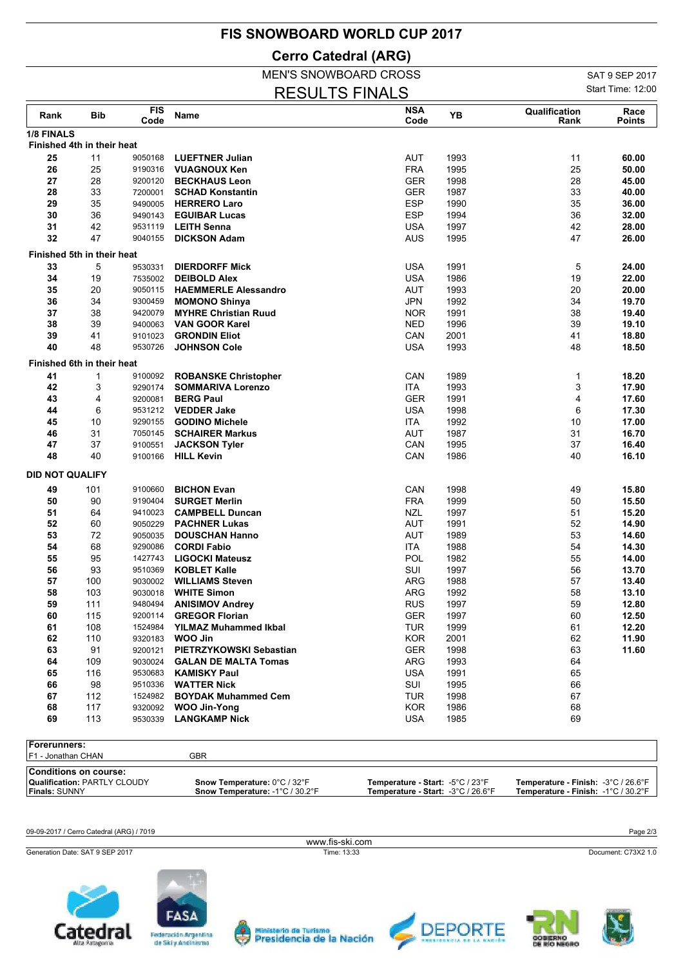## **FIS SNOWBOARD WORLD CUP 2017**

**Cerro Catedral (ARG)**

## MEN'S SNOWBOARD CROSS

RESULTS FINALS

SAT 9 SEP 2017 Start Time: 12:00

| Rank                       | Bib | <b>FIS</b><br>Code | Name                          | <b>NSA</b><br>Code | YB   | Qualification<br>Rank | Race<br>Points |
|----------------------------|-----|--------------------|-------------------------------|--------------------|------|-----------------------|----------------|
| 1/8 FINALS                 |     |                    |                               |                    |      |                       |                |
| Finished 4th in their heat |     |                    |                               |                    |      |                       |                |
| 25                         | 11  | 9050168            | <b>LUEFTNER Julian</b>        | AUT                | 1993 | 11                    | 60.00          |
| 26                         | 25  | 9190316            | <b>VUAGNOUX Ken</b>           | <b>FRA</b>         | 1995 | 25                    | 50.00          |
| 27                         | 28  | 9200120            | <b>BECKHAUS Leon</b>          | <b>GER</b>         | 1998 | 28                    | 45.00          |
| 28                         | 33  | 7200001            | <b>SCHAD Konstantin</b>       | <b>GER</b>         | 1987 | 33                    | 40.00          |
| 29                         | 35  | 9490005            | <b>HERRERO Laro</b>           | <b>ESP</b>         | 1990 | 35                    | 36.00          |
| 30                         | 36  | 9490143            | <b>EGUIBAR Lucas</b>          | <b>ESP</b>         | 1994 | 36                    | 32.00          |
| 31                         | 42  | 9531119            | <b>LEITH Senna</b>            | <b>USA</b>         | 1997 | 42                    | 28.00          |
| 32                         | 47  | 9040155            | <b>DICKSON Adam</b>           | <b>AUS</b>         | 1995 | 47                    | 26.00          |
| Finished 5th in their heat |     |                    |                               |                    |      |                       |                |
| 33                         | 5   | 9530331            | <b>DIERDORFF Mick</b>         | <b>USA</b>         | 1991 | 5                     | 24.00          |
| 34                         | 19  | 7535002            | <b>DEIBOLD Alex</b>           | <b>USA</b>         | 1986 | 19                    | 22.00          |
| 35                         | 20  | 9050115            | <b>HAEMMERLE Alessandro</b>   | AUT                | 1993 | 20                    | 20.00          |
| 36                         | 34  | 9300459            | <b>MOMONO Shinya</b>          | <b>JPN</b>         | 1992 | 34                    | 19.70          |
| 37                         | 38  | 9420079            | <b>MYHRE Christian Ruud</b>   | <b>NOR</b>         | 1991 | 38                    | 19.40          |
| 38                         | 39  | 9400063            | <b>VAN GOOR Karel</b>         | <b>NED</b>         | 1996 | 39                    | 19.10          |
| 39                         | 41  | 9101023            | <b>GRONDIN Eliot</b>          | CAN                | 2001 | 41                    | 18.80          |
| 40                         | 48  | 9530726            | <b>JOHNSON Cole</b>           | <b>USA</b>         | 1993 | 48                    | 18.50          |
| Finished 6th in their heat |     |                    |                               |                    |      |                       |                |
| 41                         | 1   | 9100092            | <b>ROBANSKE Christopher</b>   | CAN                | 1989 | 1                     | 18.20          |
| 42                         | 3   | 9290174            | <b>SOMMARIVA Lorenzo</b>      | ITA                | 1993 | 3                     | 17.90          |
| 43                         | 4   | 9200081            | <b>BERG Paul</b>              | <b>GER</b>         | 1991 | 4                     | 17.60          |
| 44                         | 6   | 9531212            | <b>VEDDER Jake</b>            | <b>USA</b>         | 1998 | 6                     | 17.30          |
| 45                         | 10  | 9290155            | <b>GODINO Michele</b>         | <b>ITA</b>         | 1992 | 10                    | 17.00          |
| 46                         | 31  | 7050145            | <b>SCHAIRER Markus</b>        | AUT                | 1987 | 31                    | 16.70          |
| 47                         | 37  | 9100551            | <b>JACKSON Tyler</b>          | CAN                | 1995 | 37                    | 16.40          |
| 48                         | 40  | 9100166            | <b>HILL Kevin</b>             | CAN                | 1986 | 40                    | 16.10          |
|                            |     |                    |                               |                    |      |                       |                |
| <b>DID NOT QUALIFY</b>     |     |                    |                               |                    |      |                       |                |
| 49                         | 101 | 9100660            | <b>BICHON Evan</b>            | CAN                | 1998 | 49                    | 15.80          |
| 50                         | 90  | 9190404            | <b>SURGET Merlin</b>          | <b>FRA</b>         | 1999 | 50                    | 15.50          |
| 51                         | 64  | 9410023            | <b>CAMPBELL Duncan</b>        | <b>NZL</b>         | 1997 | 51                    | 15.20          |
| 52                         | 60  | 9050229            | <b>PACHNER Lukas</b>          | AUT                | 1991 | 52                    | 14.90          |
| 53                         | 72  | 9050035            | <b>DOUSCHAN Hanno</b>         | <b>AUT</b>         | 1989 | 53                    | 14.60          |
| 54                         | 68  | 9290086            | <b>CORDI Fabio</b>            | <b>ITA</b>         | 1988 | 54                    | 14.30          |
| 55                         | 95  | 1427743            | <b>LIGOCKI Mateusz</b>        | <b>POL</b>         | 1982 | 55                    | 14.00          |
| 56                         | 93  | 9510369            | <b>KOBLET Kalle</b>           | SUI                | 1997 | 56                    | 13.70          |
| 57                         | 100 | 9030002            | <b>WILLIAMS Steven</b>        | <b>ARG</b>         | 1988 | 57                    | 13.40          |
| 58                         | 103 | 9030018            | <b>WHITE Simon</b>            | ARG                | 1992 | 58                    | 13.10          |
| 59                         | 111 | 9480494            | <b>ANISIMOV Andrey</b>        | <b>RUS</b>         | 1997 | 59                    | 12.80          |
| 60                         | 115 | 9200114            | <b>GREGOR Florian</b>         | GER                | 1997 | 60                    | 12.50          |
| 61                         | 108 |                    | 1524984 YILMAZ Muhammed Ikbal | TUR                | 1999 | 61                    | 12.20          |
| 62                         | 110 |                    | 9320183 WOO Jin               | KOR                | 2001 | 62                    | 11.90          |
| 63                         | 91  | 9200121            | PIETRZYKOWSKI Sebastian       | <b>GER</b>         | 1998 | 63                    | 11.60          |
| 64                         | 109 | 9030024            | <b>GALAN DE MALTA Tomas</b>   | ARG                | 1993 | 64                    |                |
| 65                         | 116 | 9530683            | <b>KAMISKY Paul</b>           | <b>USA</b>         | 1991 | 65                    |                |
| 66                         | 98  | 9510336            | <b>WATTER Nick</b>            | SUI                | 1995 | 66                    |                |
| 67                         | 112 | 1524982            | <b>BOYDAK Muhammed Cem</b>    | <b>TUR</b>         | 1998 | 67                    |                |
| 68                         | 117 | 9320092            | WOO Jin-Yong                  | <b>KOR</b>         | 1986 | 68                    |                |
| 69                         | 113 | 9530339            | <b>LANGKAMP Nick</b>          | <b>USA</b>         | 1985 | 69                    |                |

**Forerunners:** F1 - Jonathan CHAN GBR **Conditions on course:<br>Qualification: PARTLY CLOUDY<br>Finals: SUNNY Qualification:** PARTLY CLOUDY **Snow Temperature:** 0°C / 32°F **Temperature - Start: Temperature - Finish:** -5°C / 23°F -3°C / 26.6°F **Finals:** SUNNY **Snow Temperature:** -1°C / 30.2°F **Temperature - Start: Temperature - Finish:** -3°C / 26.6°F -1°C / 30.2°F

www.fis-ski.com

09-09-2017 / Cerro Catedral (ARG) / 7019 Page 2/3

Generation Date: SAT 9 SEP 2017 Time: 13:33 Document: C73X2 1.0